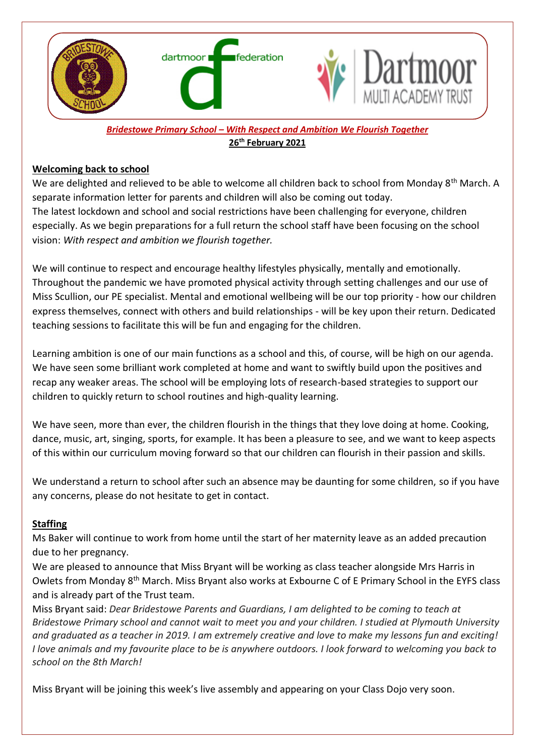

#### *Bridestowe Primary School – With Respect and Ambition We Flourish Together* **26th February 2021**

#### **Welcoming back to school**

We are delighted and relieved to be able to welcome all children back to school from Monday 8<sup>th</sup> March. A separate information letter for parents and children will also be coming out today. The latest lockdown and school and social restrictions have been challenging for everyone, children especially. As we begin preparations for a full return the school staff have been focusing on the school vision: *With respect and ambition we flourish together.*

We will continue to respect and encourage healthy lifestyles physically, mentally and emotionally. Throughout the pandemic we have promoted physical activity through setting challenges and our use of Miss Scullion, our PE specialist. Mental and emotional wellbeing will be our top priority - how our children express themselves, connect with others and build relationships - will be key upon their return. Dedicated teaching sessions to facilitate this will be fun and engaging for the children.

Learning ambition is one of our main functions as a school and this, of course, will be high on our agenda. We have seen some brilliant work completed at home and want to swiftly build upon the positives and recap any weaker areas. The school will be employing lots of research-based strategies to support our children to quickly return to school routines and high-quality learning.

We have seen, more than ever, the children flourish in the things that they love doing at home. Cooking, dance, music, art, singing, sports, for example. It has been a pleasure to see, and we want to keep aspects of this within our curriculum moving forward so that our children can flourish in their passion and skills.

We understand a return to school after such an absence may be daunting for some children, so if you have any concerns, please do not hesitate to get in contact.

# **Staffing**

Ms Baker will continue to work from home until the start of her maternity leave as an added precaution due to her pregnancy.

We are pleased to announce that Miss Bryant will be working as class teacher alongside Mrs Harris in Owlets from Monday 8th March. Miss Bryant also works at Exbourne C of E Primary School in the EYFS class and is already part of the Trust team.

Miss Bryant said: *Dear Bridestowe Parents and Guardians, I am delighted to be coming to teach at Bridestowe Primary school and cannot wait to meet you and your children. I studied at Plymouth University* and graduated as a teacher in 2019. I am extremely creative and love to make my lessons fun and exciting! I love animals and my favourite place to be is anywhere outdoors. I look forward to welcoming you back to *school on the 8th March!*

Miss Bryant will be joining this week's live assembly and appearing on your Class Dojo very soon.